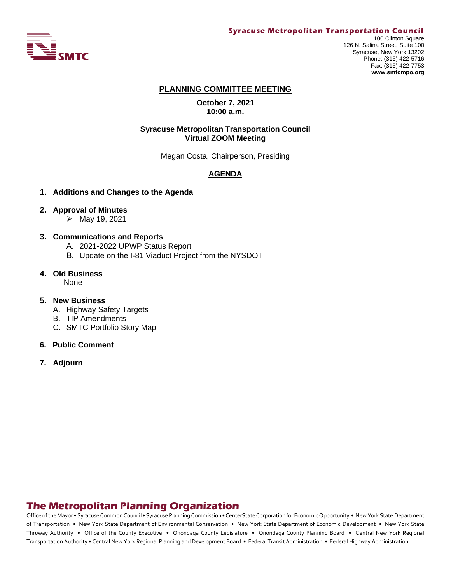

#### **Syracuse Metropolitan Transportation Council**

100 Clinton Square 126 N. Salina Street, Suite 100 Syracuse, New York 13202 Phone: (315) 422-5716 Fax: (315) 422-7753 **www.smtcmpo.org**

#### **PLANNING COMMITTEE MEETING**

**October 7, 2021 10:00 a.m.**

#### **Syracuse Metropolitan Transportation Council Virtual ZOOM Meeting**

Megan Costa, Chairperson, Presiding

## **AGENDA**

**1. Additions and Changes to the Agenda**

#### **2. Approval of Minutes**

 $\triangleright$  May 19, 2021

#### **3. Communications and Reports**

- A. 2021-2022 UPWP Status Report
- B. Update on the I-81 Viaduct Project from the NYSDOT
- **4. Old Business**

None

#### **5. New Business**

- A. Highway Safety Targets
- B. TIP Amendments
- C. SMTC Portfolio Story Map
- **6. Public Comment**
- **7. Adjourn**

# **The Metropolitan Planning Organization**

Office of the Mayor • Syracuse Common Council • Syracuse Planning Commission • CenterState Corporation for Economic Opportunity • New York State Department of Transportation • New York State Department of Environmental Conservation • New York State Department of Economic Development • New York State Thruway Authority • Office of the County Executive • Onondaga County Legislature • Onondaga County Planning Board • Central New York Regional Transportation Authority • Central New York Regional Planning and Development Board • Federal Transit Administration • Federal Highway Administration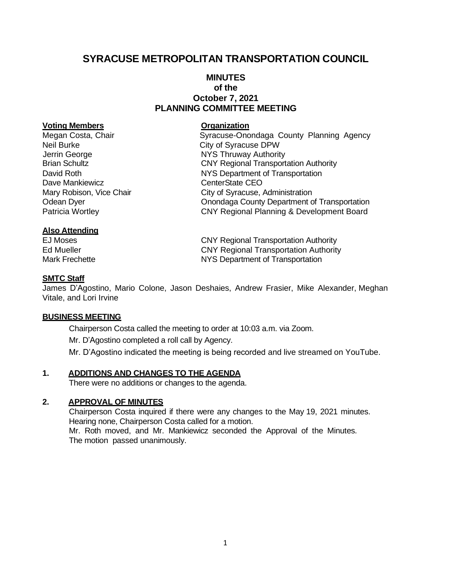# **SYRACUSE METROPOLITAN TRANSPORTATION COUNCIL**

## **MINUTES of the October 7, 2021 PLANNING COMMITTEE MEETING**

#### **Voting Members Organization**

Neil Burke City of Syracuse DPW Jerrin George **NYS Thruway Authority** Dave Mankiewicz **CEO** 

## **Also Attending**

Megan Costa, Chair **Syracuse-Onondaga County Planning Agency** Brian Schultz **CNY Regional Transportation Authority** David Roth **NYS Department of Transportation** Mary Robison, Vice Chair **City of Syracuse, Administration** Odean Dyer Onondaga County Department of Transportation Patricia Wortley CNY Regional Planning & Development Board

EJ Moses CNY Regional Transportation Authority Ed Mueller CNY Regional Transportation Authority Mark Frechette **NYS Department of Transportation** 

## **SMTC Staff**

James D'Agostino, Mario Colone, Jason Deshaies, Andrew Frasier, Mike Alexander, Meghan Vitale, and Lori Irvine

#### **BUSINESS MEETING**

Chairperson Costa called the meeting to order at 10:03 a.m. via Zoom.

Mr. D'Agostino completed a roll call by Agency.

Mr. D'Agostino indicated the meeting is being recorded and live streamed on YouTube.

## **1. ADDITIONS AND CHANGES TO THE AGENDA**

There were no additions or changes to the agenda.

## **2. APPROVAL OF MINUTES**

Chairperson Costa inquired if there were any changes to the May 19, 2021 minutes. Hearing none, Chairperson Costa called for a motion. Mr. Roth moved, and Mr. Mankiewicz seconded the Approval of the Minutes. The motion passed unanimously.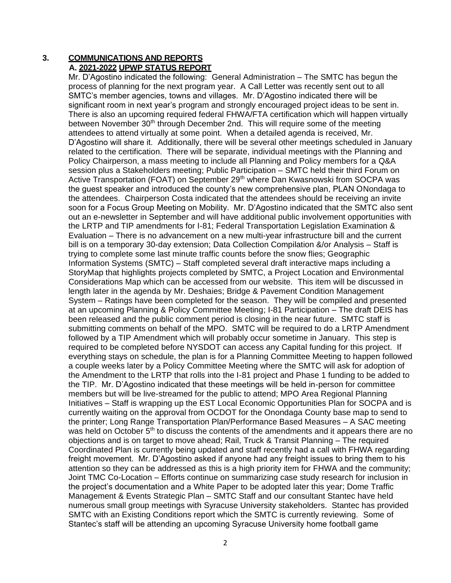## **3. COMMUNICATIONS AND REPORTS A. 2021-2022 UPWP STATUS REPORT**

Mr. D'Agostino indicated the following: General Administration – The SMTC has begun the process of planning for the next program year. A Call Letter was recently sent out to all SMTC's member agencies, towns and villages. Mr. D'Agostino indicated there will be significant room in next year's program and strongly encouraged project ideas to be sent in. There is also an upcoming required federal FHWA/FTA certification which will happen virtually between November 30<sup>th</sup> through December 2nd. This will require some of the meeting attendees to attend virtually at some point. When a detailed agenda is received, Mr. D'Agostino will share it. Additionally, there will be several other meetings scheduled in January related to the certification. There will be separate, individual meetings with the Planning and Policy Chairperson, a mass meeting to include all Planning and Policy members for a Q&A session plus a Stakeholders meeting; Public Participation – SMTC held their third Forum on Active Transportation (FOAT) on September 29<sup>th</sup> where Dan Kwasnowski from SOCPA was the guest speaker and introduced the county's new comprehensive plan, PLAN ONondaga to the attendees. Chairperson Costa indicated that the attendees should be receiving an invite soon for a Focus Group Meeting on Mobility. Mr. D'Agostino indicated that the SMTC also sent out an e-newsletter in September and will have additional public involvement opportunities with the LRTP and TIP amendments for I-81; Federal Transportation Legislation Examination & Evaluation – There is no advancement on a new multi-year infrastructure bill and the current bill is on a temporary 30-day extension; Data Collection Compilation &/or Analysis – Staff is trying to complete some last minute traffic counts before the snow flies; Geographic Information Systems (SMTC) – Staff completed several draft interactive maps including a StoryMap that highlights projects completed by SMTC, a Project Location and Environmental Considerations Map which can be accessed from our website. This item will be discussed in length later in the agenda by Mr. Deshaies; Bridge & Pavement Condition Management System – Ratings have been completed for the season. They will be compiled and presented at an upcoming Planning & Policy Committee Meeting; I-81 Participation – The draft DEIS has been released and the public comment period is closing in the near future. SMTC staff is submitting comments on behalf of the MPO. SMTC will be required to do a LRTP Amendment followed by a TIP Amendment which will probably occur sometime in January. This step is required to be completed before NYSDOT can access any Capital funding for this project. If everything stays on schedule, the plan is for a Planning Committee Meeting to happen followed a couple weeks later by a Policy Committee Meeting where the SMTC will ask for adoption of the Amendment to the LRTP that rolls into the I-81 project and Phase 1 funding to be added to the TIP. Mr. D'Agostino indicated that these meetings will be held in-person for committee members but will be live-streamed for the public to attend; MPO Area Regional Planning Initiatives – Staff is wrapping up the EST Local Economic Opportunities Plan for SOCPA and is currently waiting on the approval from OCDOT for the Onondaga County base map to send to the printer; Long Range Transportation Plan/Performance Based Measures – A SAC meeting was held on October  $5<sup>th</sup>$  to discuss the contents of the amendments and it appears there are no objections and is on target to move ahead; Rail, Truck & Transit Planning – The required Coordinated Plan is currently being updated and staff recently had a call with FHWA regarding freight movement. Mr. D'Agostino asked if anyone had any freight issues to bring them to his attention so they can be addressed as this is a high priority item for FHWA and the community; Joint TMC Co-Location – Efforts continue on summarizing case study research for inclusion in the project's documentation and a White Paper to be adopted later this year; Dome Traffic Management & Events Strategic Plan – SMTC Staff and our consultant Stantec have held numerous small group meetings with Syracuse University stakeholders. Stantec has provided SMTC with an Existing Conditions report which the SMTC is currently reviewing. Some of Stantec's staff will be attending an upcoming Syracuse University home football game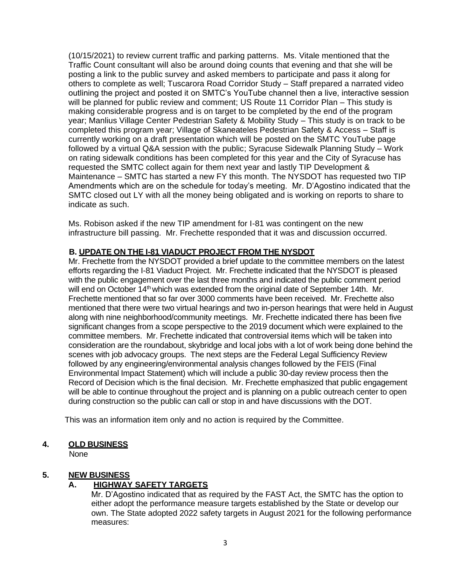(10/15/2021) to review current traffic and parking patterns. Ms. Vitale mentioned that the Traffic Count consultant will also be around doing counts that evening and that she will be posting a link to the public survey and asked members to participate and pass it along for others to complete as well; Tuscarora Road Corridor Study – Staff prepared a narrated video outlining the project and posted it on SMTC's YouTube channel then a live, interactive session will be planned for public review and comment; US Route 11 Corridor Plan – This study is making considerable progress and is on target to be completed by the end of the program year; Manlius Village Center Pedestrian Safety & Mobility Study – This study is on track to be completed this program year; Village of Skaneateles Pedestrian Safety & Access – Staff is currently working on a draft presentation which will be posted on the SMTC YouTube page followed by a virtual Q&A session with the public; Syracuse Sidewalk Planning Study – Work on rating sidewalk conditions has been completed for this year and the City of Syracuse has requested the SMTC collect again for them next year and lastly TIP Development & Maintenance – SMTC has started a new FY this month. The NYSDOT has requested two TIP Amendments which are on the schedule for today's meeting. Mr. D'Agostino indicated that the SMTC closed out LY with all the money being obligated and is working on reports to share to indicate as such.

Ms. Robison asked if the new TIP amendment for I-81 was contingent on the new infrastructure bill passing. Mr. Frechette responded that it was and discussion occurred.

## **B. UPDATE ON THE I-81 VIADUCT PROJECT FROM THE NYSDOT**

Mr. Frechette from the NYSDOT provided a brief update to the committee members on the latest efforts regarding the I-81 Viaduct Project. Mr. Frechette indicated that the NYSDOT is pleased with the public engagement over the last three months and indicated the public comment period will end on October 14th which was extended from the original date of September 14th. Mr. Frechette mentioned that so far over 3000 comments have been received. Mr. Frechette also mentioned that there were two virtual hearings and two in-person hearings that were held in August along with nine neighborhood/community meetings. Mr. Frechette indicated there has been five significant changes from a scope perspective to the 2019 document which were explained to the committee members. Mr. Frechette indicated that controversial items which will be taken into consideration are the roundabout, skybridge and local jobs with a lot of work being done behind the scenes with job advocacy groups. The next steps are the Federal Legal Sufficiency Review followed by any engineering/environmental analysis changes followed by the FEIS (Final Environmental Impact Statement) which will include a public 30-day review process then the Record of Decision which is the final decision. Mr. Frechette emphasized that public engagement will be able to continue throughout the project and is planning on a public outreach center to open during construction so the public can call or stop in and have discussions with the DOT.

This was an information item only and no action is required by the Committee.

## **4. OLD BUSINESS**

None

## **5. NEW BUSINESS**

## **A. HIGHWAY SAFETY TARGETS**

Mr. D'Agostino indicated that as required by the FAST Act, the SMTC has the option to either adopt the performance measure targets established by the State or develop our own. The State adopted 2022 safety targets in August 2021 for the following performance measures: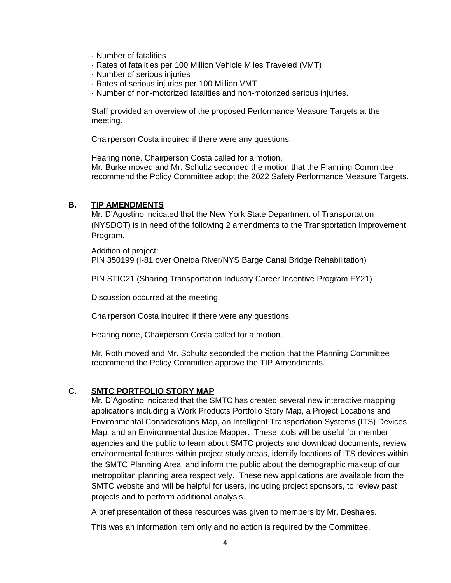- · Number of fatalities
- · Rates of fatalities per 100 Million Vehicle Miles Traveled (VMT)
- · Number of serious injuries
- · Rates of serious injuries per 100 Million VMT
- · Number of non-motorized fatalities and non-motorized serious injuries.

Staff provided an overview of the proposed Performance Measure Targets at the meeting.

Chairperson Costa inquired if there were any questions.

Hearing none, Chairperson Costa called for a motion. Mr. Burke moved and Mr. Schultz seconded the motion that the Planning Committee recommend the Policy Committee adopt the 2022 Safety Performance Measure Targets.

#### **B. TIP AMENDMENTS**

Mr. D'Agostino indicated that the New York State Department of Transportation (NYSDOT) is in need of the following 2 amendments to the Transportation Improvement Program.

Addition of project: PIN 350199 (I-81 over Oneida River/NYS Barge Canal Bridge Rehabilitation)

PIN STIC21 (Sharing Transportation Industry Career Incentive Program FY21)

Discussion occurred at the meeting.

Chairperson Costa inquired if there were any questions.

Hearing none, Chairperson Costa called for a motion.

Mr. Roth moved and Mr. Schultz seconded the motion that the Planning Committee recommend the Policy Committee approve the TIP Amendments.

#### **C. SMTC PORTFOLIO STORY MAP**

Mr. D'Agostino indicated that the SMTC has created several new interactive mapping applications including a Work Products Portfolio Story Map, a Project Locations and Environmental Considerations Map, an Intelligent Transportation Systems (ITS) Devices Map, and an Environmental Justice Mapper. These tools will be useful for member agencies and the public to learn about SMTC projects and download documents, review environmental features within project study areas, identify locations of ITS devices within the SMTC Planning Area, and inform the public about the demographic makeup of our metropolitan planning area respectively. These new applications are available from the SMTC website and will be helpful for users, including project sponsors, to review past projects and to perform additional analysis.

A brief presentation of these resources was given to members by Mr. Deshaies.

This was an information item only and no action is required by the Committee.